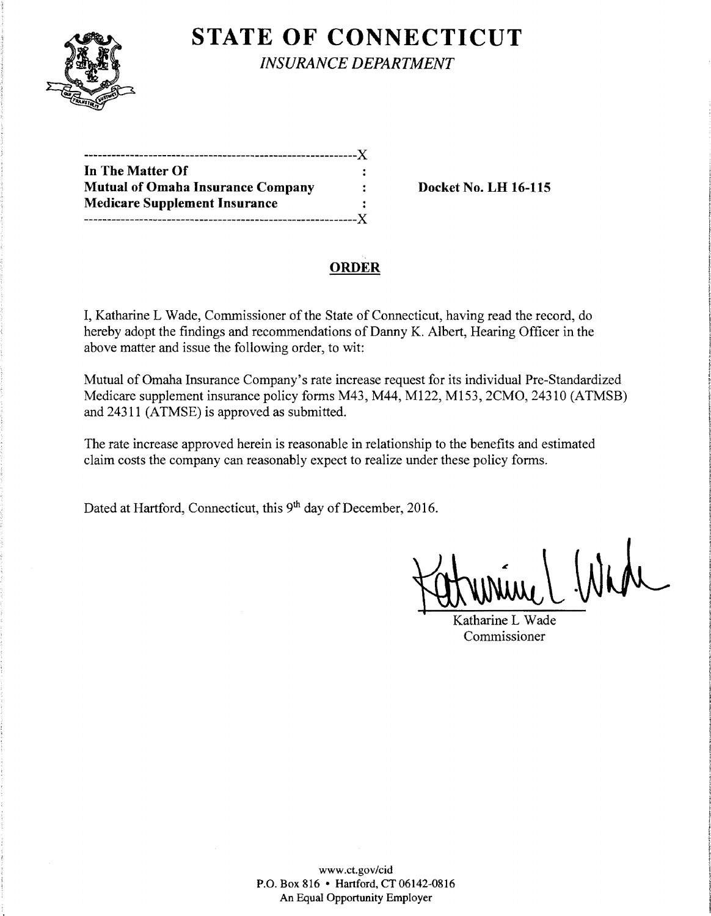

**STATE OF CONNECTICUT** 

*INSURANCE DEPARTMENT* 

| In The Matter Of                         |  |
|------------------------------------------|--|
| <b>Mutual of Omaha Insurance Company</b> |  |
| <b>Medicare Supplement Insurance</b>     |  |
|                                          |  |

Docket No. LH 16-115

# ORDER

I, Katharine L Wade, Commissioner of the State of Connecticut, having read the record, do hereby adopt the findings and recommendations of Danny K. Albert, Hearing Officer in the above matter and issue the following order, to wit:

Mutual of Omaha Insurance Company's rate increase request for its individual Pre-Standardized Medicare supplement insurance policy forms M43, M44, M122, M153, 2CMO, 24310 (ATMSB) and 24311 (ATMSE) is approved as submitted.

The rate increase approved herein is reasonable in relationship to the benefits and estimated claim costs the company can reasonably expect to realize under these policy forms.

Dated at Hartford, Connecticut, this 9<sup>th</sup> day of December, 2016.

Kurine L Wade

Commissioner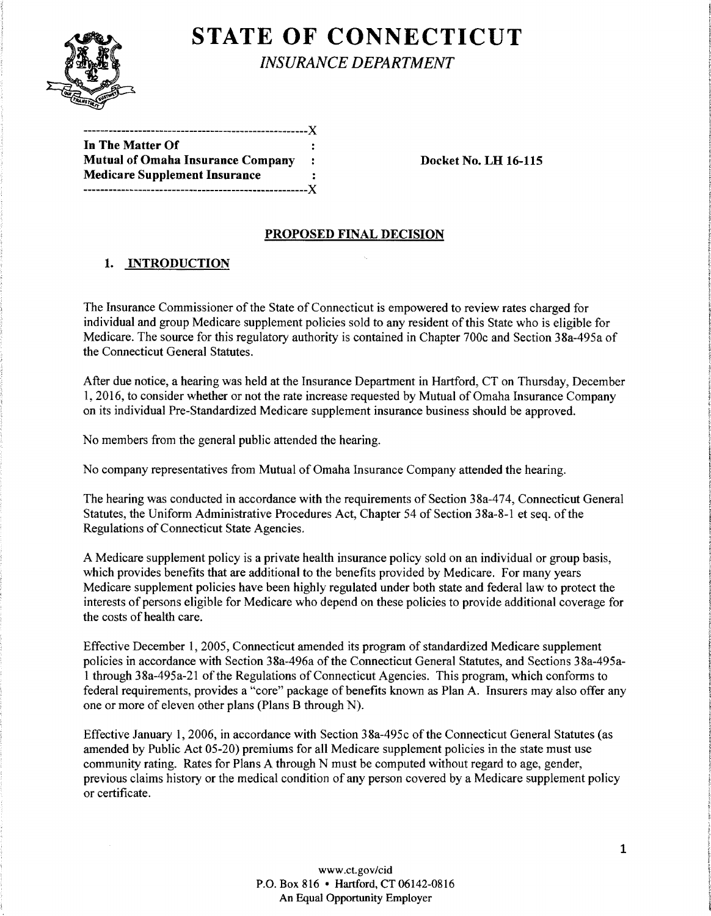

**STATE OF CONNECTICUT** 

*INSURANCE DEPARTMENT* 

|                                          | . . |
|------------------------------------------|-----|
| In The Matter Of                         |     |
| <b>Mutual of Omaha Insurance Company</b> |     |
| <b>Medicare Supplement Insurance</b>     |     |
|                                          |     |

-----------------------------------------------------)(

Docket No. LH 16-115

### PROPOSED FINAL DECISION

### 1. INTRODUCTION

The Insurance Commissioner of the State of Connecticut is empowered to review rates charged for individual and group Medicare supplement policies sold to any resident of this State who is eligible for Medicare. The source for this regulatory authority is contained in Chapter 700c and Section 38a-495a of the Connecticut General Statutes.

After due notice, a hearing was held at the Insurance Department in Hartford, CT on Thursday, December 1, 2016, to consider whether or not the rate increase requested by Mutual of Omaha Insurance Company on its individual Pre-Standardized Medicare supplement insurance business should be approved.

No members from the general public attended the hearing.

No company representatives from Mutual ofOmaha Insurance Company attended the hearing.

The hearing was conducted in accordance with the requirements of Section 38a-474, Connecticut General Statutes, the Uniform Administrative Procedures Act, Chapter 54 of Section 38a-8-1 et seq. of the Regulations of Connecticut State Agencies.

A Medicare supplement policy is a private health insurance policy sold on an individual or group basis, which provides benefits that are additional to the benefits provided by Medicare. For many years Medicare supplement policies have been highly regulated under both state and federal law to protect the interests of persons eligible for Medicare who depend on these policies to provide additional coverage for the costs of health care.

Effective December 1, 2005, Connecticut amended its program of standardized Medicare supplement policies in accordance with Section 38a-496a of the Connecticut General Statutes, and Sections 38a-495a-1 through 38a-495a-21 of the Regulations of Connecticut Agencies. This program, which conforms to federal requirements, provides a "core" package of benefits known as Plan A. Insurers may also offer any one or more of eleven other plans (Plans B through N).

Effective January 1, 2006, in accordance with Section 38a-495c of the Connecticut General Statutes (as amended by Public Act 05-20) premiums for all Medicare supplement policies in the state must use community rating. Rates for Plans A through N must be computed without regard to age, gender, previous claims history or the medical condition of any person covered by a Medicare supplement policy or certificate.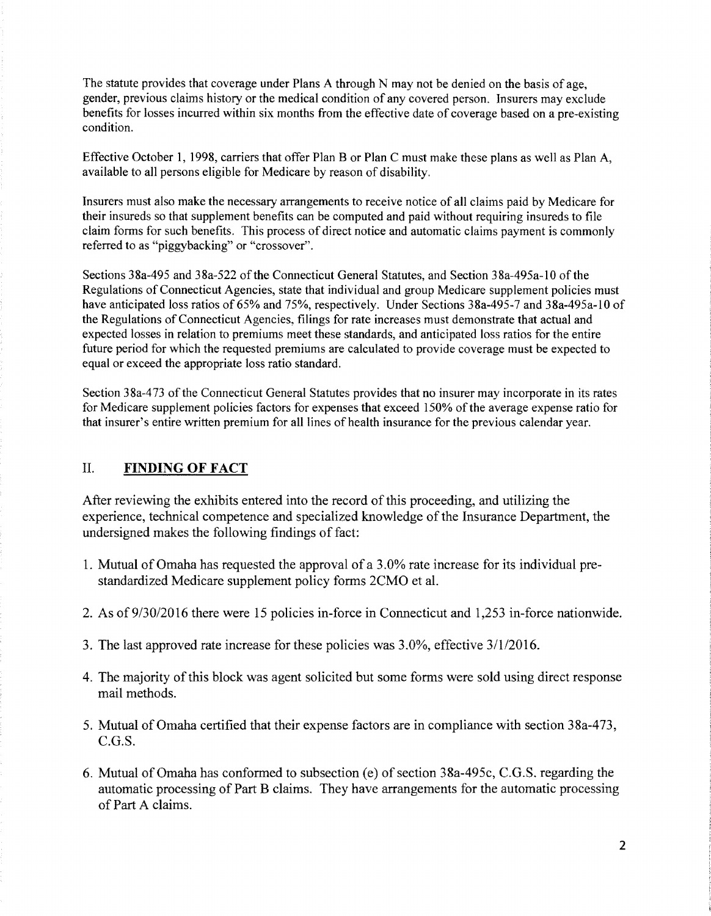The statute provides that coverage under Plans A through N may not be denied on the basis of age, gender, previous claims history or the medical condition of any covered person. Insurers may exclude benefits for losses incurred within six months from the effective date of coverage based on a pre-existing condition.

Effective October 1, 1998, carriers that offer Plan B or Plan C must make these plans as well as Plan A, available to all persons eligible for Medicare by reason of disability.

Insurers must also make the necessary arrangements to receive notice of all claims paid by Medicare for their insureds so that supplement benefits can be computed and paid without requiring insureds to file claim forms for such benefits. This process of direct notice and automatic claims payment is commonly referred to as "piggybacking" or "crossover".

Sections 38a-495 and 38a-522 of the Connecticut General Statutes, and Section 38a-495a-10 of the Regulations of Connecticut Agencies, state that individual and group Medicare supplement policies must have anticipated loss ratios of 65% and 75%, respectively. Under Sections 38a-495-7 and 38a-495a-10 of the Regulations of Connecticut Agencies, filings for rate increases must demonstrate that actual and expected losses in relation to premiums meet these standards, and anticipated loss ratios for the entire future period for which the requested premiums are calculated to provide coverage must be expected to equal or exceed the appropriate loss ratio standard.

Section 38a-473 of the Connecticut General Statutes provides that no insurer may incorporate in its rates for Medicare supplement policies factors for expenses that exceed 150% of the average expense ratio for that insurer's entire written premium for all lines of health insurance for the previous calendar year.

#### II. **FINDING OF FACT**

After reviewing the exhibits entered into the record of this proceeding, and utilizing the experience, technical competence and specialized knowledge of the Insurance Department, the undersigned makes the following findings of fact:

- 1. Mutual ofOmaha has requested the approval of a 3.0% rate increase for its individual prestandardized Medicare supplement policy forms 2CMO et al.
- 2. As of 9/30/2016 there were 15 policies in-force in Connecticut and 1,253 in-force nationwide.
- 3. The last approved rate increase for these policies was 3.0%, effective 3/112016.
- 4. The majority of this block was agent solicited but some forms were sold using direct response mail methods.
- 5. Mutual of Omaha certified that their expense factors are in compliance with section 38a-473, C.G.S.
- 6. Mutual of Omaha has conformed to subsection (e) of section 38a-495c, C.G.S. regarding the automatic processing of Part B claims. They have arrangements for the automatic processing of Part A claims.